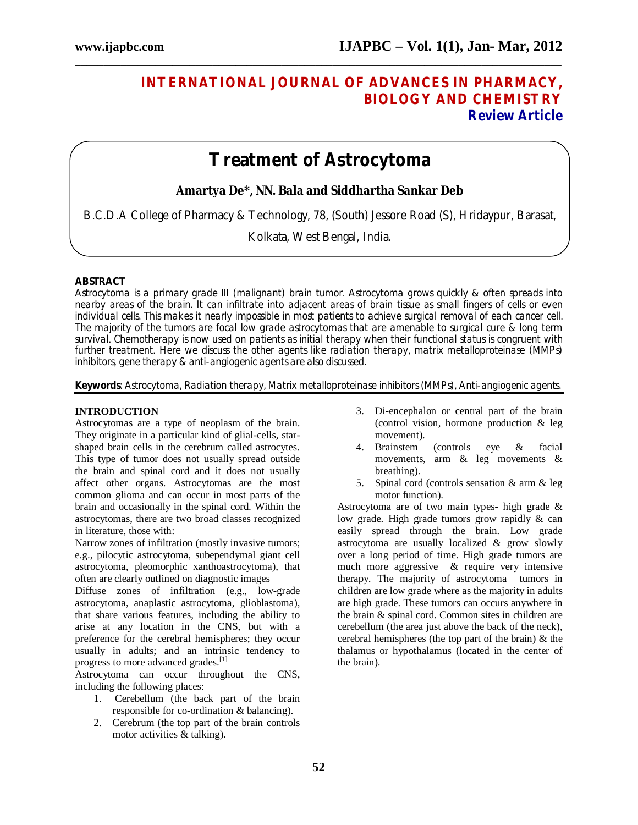# **INTERNATIONAL JOURNAL OF ADVANCES IN PHARMACY, BIOLOGY AND CHEMISTRY Review Article**

# **Treatment of Astrocytoma**

**\_\_\_\_\_\_\_\_\_\_\_\_\_\_\_\_\_\_\_\_\_\_\_\_\_\_\_\_\_\_\_\_\_\_\_\_\_\_\_\_\_\_\_\_\_\_\_\_\_\_\_\_\_\_\_\_\_\_\_\_\_\_\_\_\_\_\_\_\_\_\_\_\_\_\_\_\_\_\_\_\_\_\_\_\_**

# **Amartya De\*, NN. Bala and Siddhartha Sankar Deb**

B.C.D.A College of Pharmacy & Technology, 78, (South) Jessore Road (S), Hridaypur, Barasat,

Kolkata, West Bengal, India.

#### **ABSTRACT**

Astrocytoma is a primary grade III (malignant) brain tumor. Astrocytoma grows quickly & often spreads into nearby areas of the brain. It can infiltrate into adjacent areas of brain tissue as small fingers of cells or even individual cells. This makes it nearly impossible in most patients to achieve surgical removal of each cancer cell. The majority of the tumors are focal low grade astrocytomas that are amenable to surgical cure & long term survival. Chemotherapy is now used on patients as initial therapy when their functional status is congruent with further treatment. Here we discuss the other agents like radiation therapy, matrix metalloproteinase (MMPs) inhibitors, gene therapy & anti-angiogenic agents are also discussed.

#### **Keywords**: Astrocytoma, Radiation therapy, Matrix metalloproteinase inhibitors (MMPs), Anti-angiogenic agents.

#### **INTRODUCTION**

Astrocytomas are a type of neoplasm of the brain. They originate in a particular kind of glial-cells, starshaped brain cells in the cerebrum called astrocytes. This type of tumor does not usually spread outside the brain and spinal cord and it does not usually affect other organs. Astrocytomas are the most common glioma and can occur in most parts of the brain and occasionally in the spinal cord. Within the astrocytomas, there are two broad classes recognized in literature, those with:

Narrow zones of infiltration (mostly invasive tumors; e.g., pilocytic astrocytoma, subependymal giant cell astrocytoma, pleomorphic xanthoastrocytoma), that often are clearly outlined on diagnostic images

Diffuse zones of infiltration (e.g., low-grade astrocytoma, anaplastic astrocytoma, glioblastoma), that share various features, including the ability to arise at any location in the CNS, but with a preference for the cerebral hemispheres; they occur usually in adults; and an intrinsic tendency to progress to more advanced grades.<sup>[1]</sup>

Astrocytoma can occur throughout the CNS, including the following places:

- 1. Cerebellum (the back part of the brain responsible for co-ordination & balancing).
- 2. Cerebrum (the top part of the brain controls motor activities & talking).
- 3. Di-encephalon or central part of the brain (control vision, hormone production & leg movement).
- 4. Brainstem (controls eye & facial movements, arm & leg movements & breathing).
- 5. Spinal cord (controls sensation & arm & leg motor function).

Astrocytoma are of two main types- high grade & low grade. High grade tumors grow rapidly & can easily spread through the brain. Low grade astrocytoma are usually localized & grow slowly over a long period of time. High grade tumors are much more aggressive & require very intensive therapy. The majority of astrocytoma tumors in children are low grade where as the majority in adults are high grade. These tumors can occurs anywhere in the brain & spinal cord. Common sites in children are cerebellum (the area just above the back of the neck), cerebral hemispheres (the top part of the brain) & the thalamus or hypothalamus (located in the center of the brain).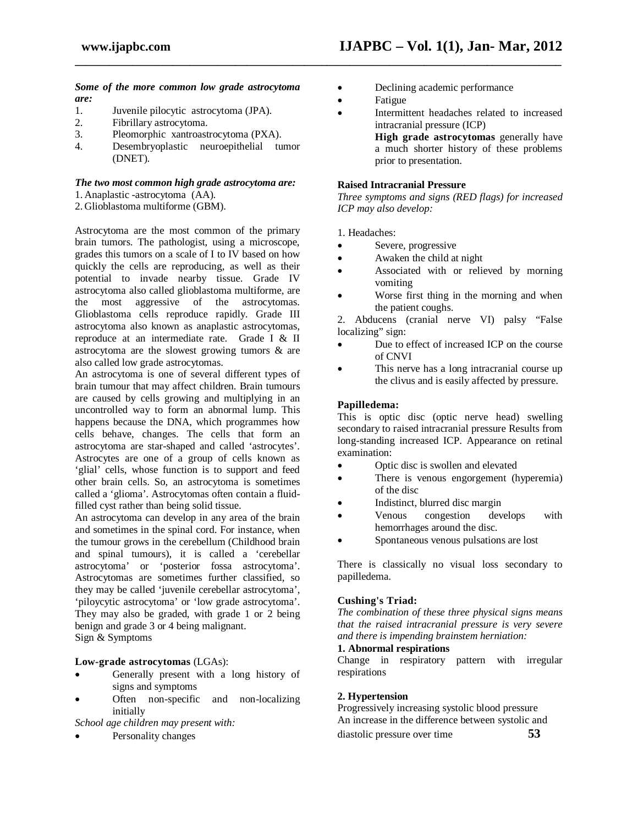#### *Some of the more common low grade astrocytoma are:*

- 1. Juvenile pilocytic astrocytoma (JPA).<br>2. Fibrillary astrocytoma.
- Fibrillary astrocytoma.
- 3. Pleomorphic xantroastrocytoma (PXA).
- 4. Desembryoplastic neuroepithelial tumor (DNET).

#### *The two most common high grade astrocytoma are:*

1. Anaplastic -astrocytoma (AA).

2. Glioblastoma multiforme (GBM).

Astrocytoma are the most common of the primary brain tumors. The pathologist, using a microscope, grades this tumors on a scale of I to IV based on how quickly the cells are reproducing, as well as their potential to invade nearby tissue. Grade IV astrocytoma also called glioblastoma multiforme, are the most aggressive of the astrocytomas. Glioblastoma cells reproduce rapidly. Grade III astrocytoma also known as anaplastic astrocytomas, reproduce at an intermediate rate. Grade I & II astrocytoma are the slowest growing tumors & are also called low grade astrocytomas.

An astrocytoma is one of several different types of brain tumour that may affect children. Brain tumours are caused by cells growing and multiplying in an uncontrolled way to form an abnormal lump. This happens because the DNA, which programmes how cells behave, changes. The cells that form an astrocytoma are star-shaped and called 'astrocytes'. Astrocytes are one of a group of cells known as 'glial' cells, whose function is to support and feed other brain cells. So, an astrocytoma is sometimes called a 'glioma'. Astrocytomas often contain a fluidfilled cyst rather than being solid tissue.

An astrocytoma can develop in any area of the brain and sometimes in the spinal cord. For instance, when the tumour grows in the cerebellum (Childhood brain and spinal tumours), it is called a 'cerebellar astrocytoma' or 'posterior fossa astrocytoma'. Astrocytomas are sometimes further classified, so they may be called 'juvenile cerebellar astrocytoma', 'piloycytic astrocytoma' or 'low grade astrocytoma'. They may also be graded, with grade 1 or 2 being benign and grade 3 or 4 being malignant. Sign & Symptoms

#### **Low-grade astrocytomas** (LGAs):

- Generally present with a long history of signs and symptoms
- Often non-specific and non-localizing initially

*School age children may present with:* 

Personality changes

- Declining academic performance
- Fatigue

**\_\_\_\_\_\_\_\_\_\_\_\_\_\_\_\_\_\_\_\_\_\_\_\_\_\_\_\_\_\_\_\_\_\_\_\_\_\_\_\_\_\_\_\_\_\_\_\_\_\_\_\_\_\_\_\_\_\_\_\_\_\_\_\_\_\_\_\_\_\_\_\_\_\_\_\_\_\_\_\_\_\_\_\_\_**

 Intermittent headaches related to increased intracranial pressure (ICP)

**High grade astrocytomas** generally have a much shorter history of these problems prior to presentation.

#### **Raised Intracranial Pressure**

*Three symptoms and signs (RED flags) for increased ICP may also develop:*

1. Headaches:

- Severe, progressive
- Awaken the child at night
- Associated with or relieved by morning vomiting
- Worse first thing in the morning and when the patient coughs.

2. Abducens (cranial nerve VI) palsy "False localizing" sign:

- Due to effect of increased ICP on the course of CNVI
- This nerve has a long intracranial course up the clivus and is easily affected by pressure.

#### **Papilledema:**

This is optic disc (optic nerve head) swelling secondary to raised intracranial pressure Results from long-standing increased ICP. Appearance on retinal examination:

- Optic disc is swollen and elevated
- There is venous engorgement (hyperemia) of the disc
- Indistinct, blurred disc margin
- Venous congestion develops with hemorrhages around the disc.
- Spontaneous venous pulsations are lost

There is classically no visual loss secondary to papilledema.

#### **Cushing's Triad:**

*The combination of these three physical signs means that the raised intracranial pressure is very severe and there is impending brainstem herniation:*

# **1. Abnormal respirations**

Change in respiratory pattern with irregular respirations

#### **2. Hypertension**

Progressively increasing systolic blood pressure An increase in the difference between systolic and diastolic pressure over time **53**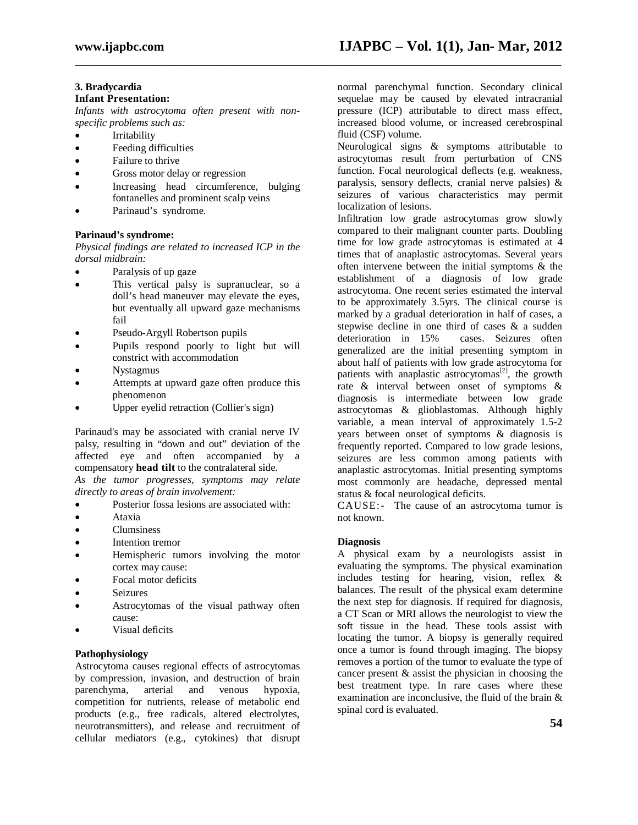**\_\_\_\_\_\_\_\_\_\_\_\_\_\_\_\_\_\_\_\_\_\_\_\_\_\_\_\_\_\_\_\_\_\_\_\_\_\_\_\_\_\_\_\_\_\_\_\_\_\_\_\_\_\_\_\_\_\_\_\_\_\_\_\_\_\_\_\_\_\_\_\_\_\_\_\_\_\_\_\_\_\_\_\_\_**

### **3. Bradycardia**

#### **Infant Presentation:**

*Infants with astrocytoma often present with nonspecific problems such as:*

- Irritability
- Feeding difficulties
- Failure to thrive
- Gross motor delay or regression
- Increasing head circumference, bulging fontanelles and prominent scalp veins
- Parinaud's syndrome.

#### **Parinaud's syndrome:**

*Physical findings are related to increased ICP in the dorsal midbrain:*

- Paralysis of up gaze
- This vertical palsy is supranuclear, so a doll's head maneuver may elevate the eyes, but eventually all upward gaze mechanisms fail
- Pseudo-Argyll Robertson pupils
- Pupils respond poorly to light but will constrict with accommodation
- Nystagmus
- Attempts at upward gaze often produce this phenomenon
- Upper eyelid retraction (Collier's sign)

Parinaud's may be associated with cranial nerve IV palsy, resulting in "down and out" deviation of the affected eye and often accompanied by a compensatory **head tilt** to the contralateral side.

*As the tumor progresses, symptoms may relate directly to areas of brain involvement:*

- Posterior fossa lesions are associated with:
- Ataxia
- Clumsiness
- Intention tremor
- Hemispheric tumors involving the motor cortex may cause:
- Focal motor deficits
- Seizures
- Astrocytomas of the visual pathway often cause:
- Visual deficits

#### **Pathophysiology**

Astrocytoma causes regional effects of astrocytomas by compression, invasion, and destruction of brain parenchyma, arterial and venous hypoxia, competition for nutrients, release of metabolic end products (e.g., free radicals, altered electrolytes, neurotransmitters), and release and recruitment of cellular mediators (e.g., cytokines) that disrupt

normal parenchymal function. Secondary clinical sequelae may be caused by elevated intracranial pressure (ICP) attributable to direct mass effect, increased blood volume, or increased cerebrospinal fluid (CSF) volume.

Neurological signs & symptoms attributable to astrocytomas result from perturbation of CNS function. Focal neurological deflects (e.g. weakness, paralysis, sensory deflects, cranial nerve palsies) & seizures of various characteristics may permit localization of lesions.

Infiltration low grade astrocytomas grow slowly compared to their malignant counter parts. Doubling time for low grade astrocytomas is estimated at 4 times that of anaplastic astrocytomas. Several years often intervene between the initial symptoms & the establishment of a diagnosis of low grade astrocytoma. One recent series estimated the interval to be approximately 3.5yrs. The clinical course is marked by a gradual deterioration in half of cases, a stepwise decline in one third of cases & a sudden<br>deterioration in 15% cases. Seizures often cases. Seizures often generalized are the initial presenting symptom in about half of patients with low grade astrocytoma for patients with anaplastic astrocytomas<sup>[2]</sup>, the growth rate & interval between onset of symptoms & diagnosis is intermediate between low grade astrocytomas & glioblastomas. Although highly variable, a mean interval of approximately 1.5-2 years between onset of symptoms & diagnosis is frequently reported. Compared to low grade lesions, seizures are less common among patients with anaplastic astrocytomas. Initial presenting symptoms most commonly are headache, depressed mental status & focal neurological deficits.

CAUSE:- The cause of an astrocytoma tumor is not known.

#### **Diagnosis**

A physical exam by a neurologists assist in evaluating the symptoms. The physical examination includes testing for hearing, vision, reflex & balances. The result of the physical exam determine the next step for diagnosis. If required for diagnosis, a CT Scan or MRI allows the neurologist to view the soft tissue in the head. These tools assist with locating the tumor. A biopsy is generally required once a tumor is found through imaging. The biopsy removes a portion of the tumor to evaluate the type of cancer present & assist the physician in choosing the best treatment type. In rare cases where these examination are inconclusive, the fluid of the brain & spinal cord is evaluated.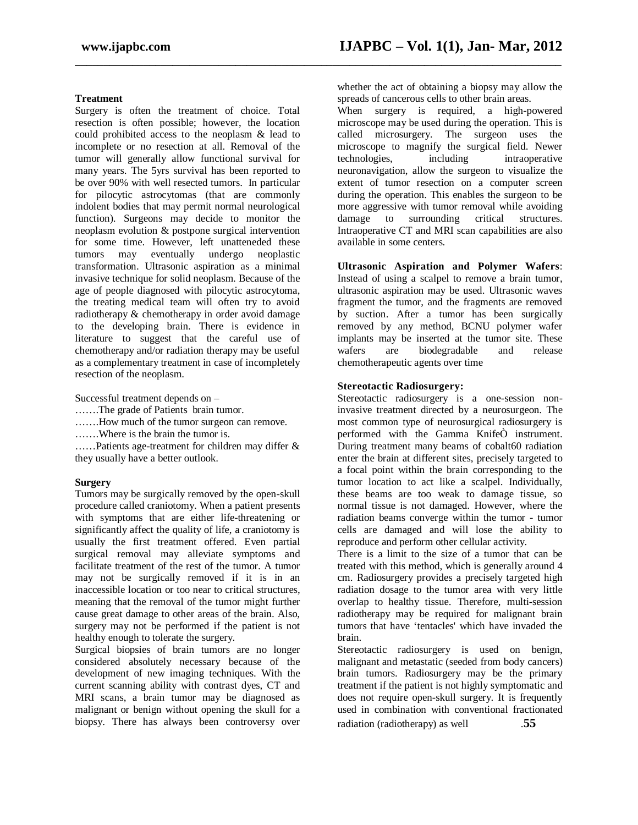**\_\_\_\_\_\_\_\_\_\_\_\_\_\_\_\_\_\_\_\_\_\_\_\_\_\_\_\_\_\_\_\_\_\_\_\_\_\_\_\_\_\_\_\_\_\_\_\_\_\_\_\_\_\_\_\_\_\_\_\_\_\_\_\_\_\_\_\_\_\_\_\_\_\_\_\_\_\_\_\_\_\_\_\_\_**

#### **Treatment**

Surgery is often the treatment of choice. Total resection is often possible; however, the location could prohibited access to the neoplasm & lead to incomplete or no resection at all. Removal of the tumor will generally allow functional survival for many years. The 5yrs survival has been reported to be over 90% with well resected tumors. In particular for pilocytic astrocytomas (that are commonly indolent bodies that may permit normal neurological function). Surgeons may decide to monitor the neoplasm evolution & postpone surgical intervention for some time. However, left unatteneded these tumors may eventually undergo neoplastic transformation. Ultrasonic aspiration as a minimal invasive technique for solid neoplasm. Because of the age of people diagnosed with pilocytic astrocytoma, the treating medical team will often try to avoid radiotherapy & chemotherapy in order avoid damage to the developing brain. There is evidence in literature to suggest that the careful use of chemotherapy and/or radiation therapy may be useful as a complementary treatment in case of incompletely resection of the neoplasm.

Successful treatment depends on –

- …….The grade of Patients brain tumor.
- …….How much of the tumor surgeon can remove.

…….Where is the brain the tumor is.

……Patients age-treatment for children may differ & they usually have a better outlook.

#### **Surgery**

Tumors may be surgically removed by the open-skull procedure called craniotomy. When a patient presents with symptoms that are either life-threatening or significantly affect the quality of life, a craniotomy is usually the first treatment offered. Even partial surgical removal may alleviate symptoms and facilitate treatment of the rest of the tumor. A tumor may not be surgically removed if it is in an inaccessible location or too near to critical structures, meaning that the removal of the tumor might further cause great damage to other areas of the brain. Also, surgery may not be performed if the patient is not healthy enough to tolerate the surgery.

Surgical biopsies of brain tumors are no longer considered absolutely necessary because of the development of new imaging techniques. With the current scanning ability with contrast dyes, CT and MRI scans, a brain tumor may be diagnosed as malignant or benign without opening the skull for a biopsy. There has always been controversy over

whether the act of obtaining a biopsy may allow the spreads of cancerous cells to other brain areas.

When surgery is required, a high-powered microscope may be used during the operation. This is called microsurgery. The surgeon uses the microscope to magnify the surgical field. Newer technologies, including intraoperative intraoperative neuronavigation, allow the surgeon to visualize the extent of tumor resection on a computer screen during the operation. This enables the surgeon to be more aggressive with tumor removal while avoiding damage to surrounding critical structures. Intraoperative CT and MRI scan capabilities are also available in some centers.

**Ultrasonic Aspiration and Polymer Wafers**: Instead of using a scalpel to remove a brain tumor, ultrasonic aspiration may be used. Ultrasonic waves fragment the tumor, and the fragments are removed by suction. After a tumor has been surgically removed by any method, BCNU polymer wafer implants may be inserted at the tumor site. These wafers are biodegradable and release chemotherapeutic agents over time

#### **Stereotactic Radiosurgery:**

Stereotactic radiosurgery is a one-session noninvasive treatment directed by a neurosurgeon. The most common type of neurosurgical radiosurgery is performed with the Gamma KnifeÒ instrument. During treatment many beams of cobalt60 radiation enter the brain at different sites, precisely targeted to a focal point within the brain corresponding to the tumor location to act like a scalpel. Individually, these beams are too weak to damage tissue, so normal tissue is not damaged. However, where the radiation beams converge within the tumor - tumor cells are damaged and will lose the ability to reproduce and perform other cellular activity.

There is a limit to the size of a tumor that can be treated with this method, which is generally around 4 cm. Radiosurgery provides a precisely targeted high radiation dosage to the tumor area with very little overlap to healthy tissue. Therefore, multi-session radiotherapy may be required for malignant brain tumors that have 'tentacles' which have invaded the brain.

Stereotactic radiosurgery is used on benign, malignant and metastatic (seeded from body cancers) brain tumors. Radiosurgery may be the primary treatment if the patient is not highly symptomatic and does not require open-skull surgery. It is frequently used in combination with conventional fractionated radiation (radiotherapy) as well .**55**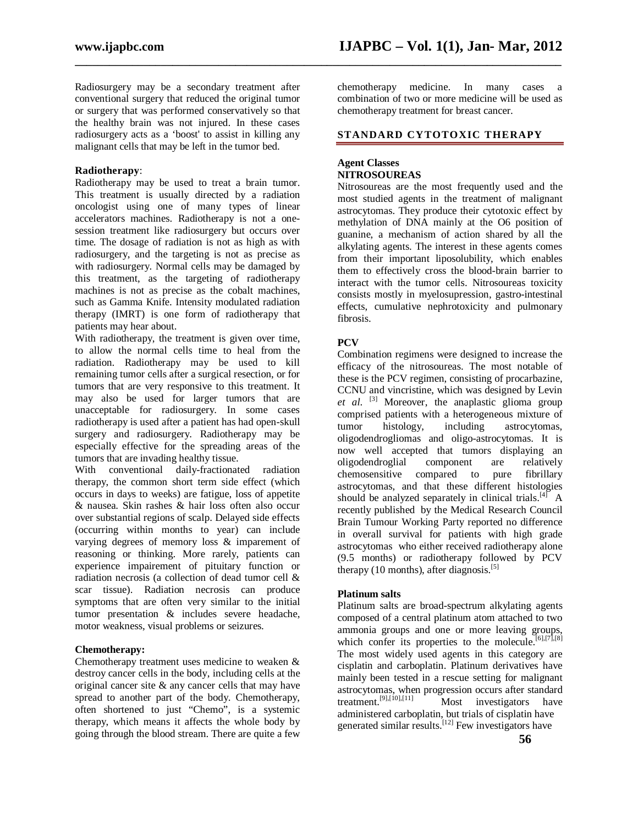Radiosurgery may be a secondary treatment after conventional surgery that reduced the original tumor or surgery that was performed conservatively so that the healthy brain was not injured. In these cases radiosurgery acts as a 'boost' to assist in killing any malignant cells that may be left in the tumor bed.

#### **Radiotherapy**:

Radiotherapy may be used to treat a brain tumor. This treatment is usually directed by a radiation oncologist using one of many types of linear accelerators machines. Radiotherapy is not a onesession treatment like radiosurgery but occurs over time. The dosage of radiation is not as high as with radiosurgery, and the targeting is not as precise as with radiosurgery. Normal cells may be damaged by this treatment, as the targeting of radiotherapy machines is not as precise as the cobalt machines, such as Gamma Knife. Intensity modulated radiation therapy (IMRT) is one form of radiotherapy that patients may hear about.

With radiotherapy, the treatment is given over time, to allow the normal cells time to heal from the radiation. Radiotherapy may be used to kill remaining tumor cells after a surgical resection, or for tumors that are very responsive to this treatment. It may also be used for larger tumors that are unacceptable for radiosurgery. In some cases radiotherapy is used after a patient has had open-skull surgery and radiosurgery. Radiotherapy may be especially effective for the spreading areas of the tumors that are invading healthy tissue.

With conventional daily-fractionated radiation therapy, the common short term side effect (which occurs in days to weeks) are fatigue, loss of appetite & nausea. Skin rashes & hair loss often also occur over substantial regions of scalp. Delayed side effects (occurring within months to year) can include varying degrees of memory loss & imparement of reasoning or thinking. More rarely, patients can experience impairement of pituitary function or radiation necrosis (a collection of dead tumor cell & scar tissue). Radiation necrosis can produce symptoms that are often very similar to the initial tumor presentation & includes severe headache, motor weakness, visual problems or seizures.

#### **Chemotherapy:**

Chemotherapy treatment uses medicine to weaken & destroy cancer cells in the body, including cells at the original cancer site & any cancer cells that may have spread to another part of the body. Chemotherapy, often shortened to just "Chemo", is a systemic therapy, which means it affects the whole body by going through the blood stream. There are quite a few chemotherapy medicine. In many cases a combination of two or more medicine will be used as chemotherapy treatment for breast cancer.

#### **STANDARD CYTOTOXIC THERAPY**

#### **Agent Classes NITROSOUREAS**

**\_\_\_\_\_\_\_\_\_\_\_\_\_\_\_\_\_\_\_\_\_\_\_\_\_\_\_\_\_\_\_\_\_\_\_\_\_\_\_\_\_\_\_\_\_\_\_\_\_\_\_\_\_\_\_\_\_\_\_\_\_\_\_\_\_\_\_\_\_\_\_\_\_\_\_\_\_\_\_\_\_\_\_\_\_**

Nitrosoureas are the most frequently used and the most studied agents in the treatment of malignant astrocytomas. They produce their cytotoxic effect by methylation of DNA mainly at the O6 position of guanine, a mechanism of action shared by all the alkylating agents. The interest in these agents comes from their important liposolubility, which enables them to effectively cross the blood-brain barrier to interact with the tumor cells. Nitrosoureas toxicity consists mostly in myelosupression, gastro-intestinal effects, cumulative nephrotoxicity and pulmonary fibrosis.

#### **PCV**

Combination regimens were designed to increase the efficacy of the nitrosoureas. The most notable of these is the PCV regimen, consisting of procarbazine, CCNU and vincristine, which was designed by Levin *et al*. [3] Moreover, the anaplastic glioma group comprised patients with a heterogeneous mixture of tumor histology, including astrocytomas, oligodendrogliomas and oligo-astrocytomas. It is now well accepted that tumors displaying an oligodendroglial component are relatively chemosensitive compared to pure fibrillary astrocytomas, and that these different histologies should be analyzed separately in clinical trials.  $[4]$  A recently published by the Medical Research Council Brain Tumour Working Party reported no difference in overall survival for patients with high grade astrocytomas who either received radiotherapy alone (9.5 months) or radiotherapy followed by PCV therapy (10 months), after diagnosis.<sup>[5]</sup>

#### **Platinum salts**

Platinum salts are broad-spectrum alkylating agents composed of a central platinum atom attached to two ammonia groups and one or more leaving groups, which confer its properties to the molecule.<sup>[6],[7],[8]</sup> The most widely used agents in this category are cisplatin and carboplatin. Platinum derivatives have mainly been tested in a rescue setting for malignant astrocytomas, when progression occurs after standard<br>treatment.<sup>[9],[10],[11]</sup> Most investigators have Most investigators have administered carboplatin, but trials of cisplatin have generated similar results.<sup>[12]</sup> Few investigators have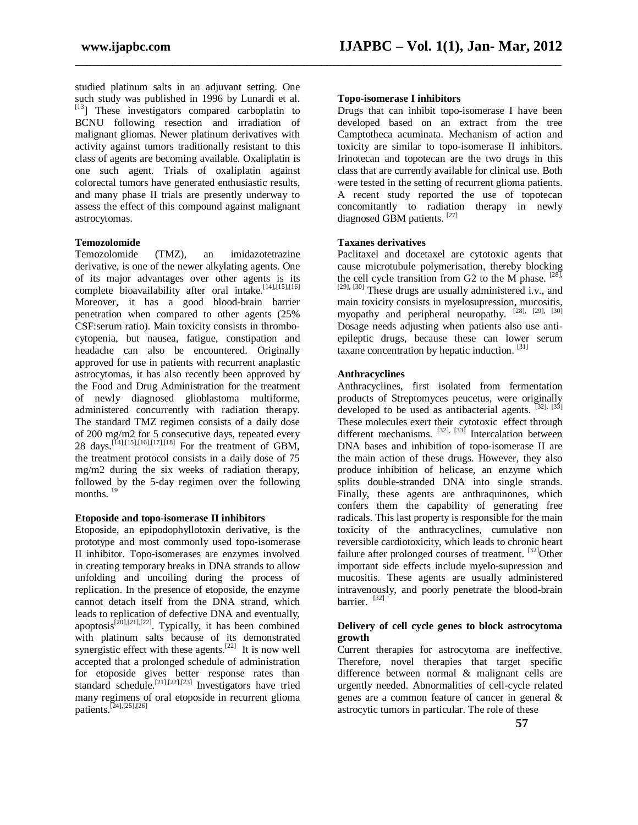studied platinum salts in an adjuvant setting. One such study was published in 1996 by Lunardi et al.  $[13]$  These investigators compared carboplatin to BCNU following resection and irradiation of malignant gliomas. Newer platinum derivatives with activity against tumors traditionally resistant to this class of agents are becoming available. Oxaliplatin is one such agent. Trials of oxaliplatin against colorectal tumors have generated enthusiastic results, and many phase II trials are presently underway to assess the effect of this compound against malignant astrocytomas.

#### **Temozolomide**

Temozolomide (TMZ), an imidazotetrazine derivative, is one of the newer alkylating agents. One of its major advantages over other agents is its complete bioavailability after oral intake.<sup>[14],[15],[16]</sup> Moreover, it has a good blood-brain barrier penetration when compared to other agents (25% CSF:serum ratio). Main toxicity consists in thrombocytopenia, but nausea, fatigue, constipation and headache can also be encountered. Originally approved for use in patients with recurrent anaplastic astrocytomas, it has also recently been approved by the Food and Drug Administration for the treatment of newly diagnosed glioblastoma multiforme, administered concurrently with radiation therapy. The standard TMZ regimen consists of a daily dose of 200 mg/m2 for 5 consecutive days, repeated every 28 days.<sup>[14],[15],[16],[17],[18]</sup> For the treatment of GBM, the treatment protocol consists in a daily dose of 75 mg/m2 during the six weeks of radiation therapy, followed by the 5-day regimen over the following months.  $19$ 

#### **Etoposide and topo-isomerase II inhibitors**

Etoposide, an epipodophyllotoxin derivative, is the prototype and most commonly used topo-isomerase II inhibitor. Topo-isomerases are enzymes involved in creating temporary breaks in DNA strands to allow unfolding and uncoiling during the process of replication. In the presence of etoposide, the enzyme cannot detach itself from the DNA strand, which leads to replication of defective DNA and eventually, apoptosis<sup>[20],[21],[22]</sup>. Typically, it has been combined with platinum salts because of its demonstrated synergistic effect with these agents.<sup>[22]</sup> It is now well accepted that a prolonged schedule of administration for etoposide gives better response rates than standard schedule.<sup>[21],[22],[23]</sup> Investigators have tried many regimens of oral etoposide in recurrent glioma patients.<sup>[24],[25],[26]</sup>

#### **Topo-isomerase I inhibitors**

**\_\_\_\_\_\_\_\_\_\_\_\_\_\_\_\_\_\_\_\_\_\_\_\_\_\_\_\_\_\_\_\_\_\_\_\_\_\_\_\_\_\_\_\_\_\_\_\_\_\_\_\_\_\_\_\_\_\_\_\_\_\_\_\_\_\_\_\_\_\_\_\_\_\_\_\_\_\_\_\_\_\_\_\_\_**

Drugs that can inhibit topo-isomerase I have been developed based on an extract from the tree Camptotheca acuminata. Mechanism of action and toxicity are similar to topo-isomerase II inhibitors. Irinotecan and topotecan are the two drugs in this class that are currently available for clinical use. Both were tested in the setting of recurrent glioma patients. A recent study reported the use of topotecan concomitantly to radiation therapy in newly diagnosed GBM patients. [27]

#### **Taxanes derivatives**

Paclitaxel and docetaxel are cytotoxic agents that cause microtubule polymerisation, thereby blocking the cell cycle transition from G2 to the M phase.  $[28]$ ,  $[29]$ ,  $[30]$  These drugs are usually administered i.v., and main toxicity consists in myelosupression, mucositis, myopathy and peripheral neuropathy. <sup>[28], [29], [30]</sup> Dosage needs adjusting when patients also use antiepileptic drugs, because these can lower serum taxane concentration by hepatic induction. [31]

#### **Anthracyclines**

Anthracyclines, first isolated from fermentation products of Streptomyces peucetus, were originally developed to be used as antibacterial agents.  $[32]$ ,  $[33]$ These molecules exert their cytotoxic effect through different mechanisms. <sup>[32], [33]</sup> Intercalation between DNA bases and inhibition of topo-isomerase II are the main action of these drugs. However, they also produce inhibition of helicase, an enzyme which splits double-stranded DNA into single strands. Finally, these agents are anthraquinones, which confers them the capability of generating free radicals. This last property is responsible for the main toxicity of the anthracyclines, cumulative non reversible cardiotoxicity, which leads to chronic heart failure after prolonged courses of treatment.  $^{[32]}$ Other important side effects include myelo-supression and mucositis. These agents are usually administered intravenously, and poorly penetrate the blood-brain barrier. [32]

#### **Delivery of cell cycle genes to block astrocytoma growth**

Current therapies for astrocytoma are ineffective. Therefore, novel therapies that target specific difference between normal & malignant cells are urgently needed. Abnormalities of cell-cycle related genes are a common feature of cancer in general & astrocytic tumors in particular. The role of these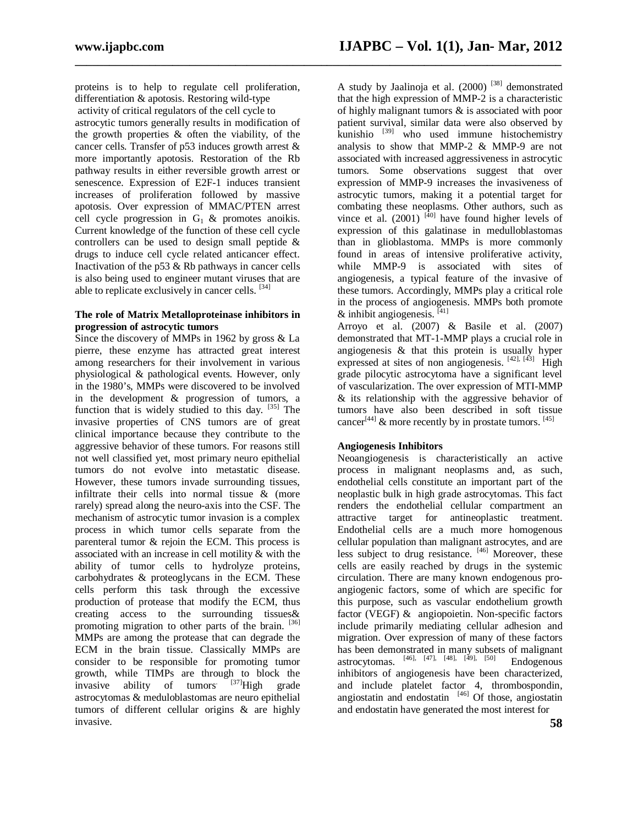proteins is to help to regulate cell proliferation, differentiation & apotosis. Restoring wild-type activity of critical regulators of the cell cycle to astrocytic tumors generally results in modification of the growth properties & often the viability, of the cancer cells. Transfer of p53 induces growth arrest & more importantly apotosis. Restoration of the Rb pathway results in either reversible growth arrest or senescence. Expression of E2F-1 induces transient increases of proliferation followed by massive apotosis. Over expression of MMAC/PTEN arrest cell cycle progression in  $G_1$  & promotes anoikis. Current knowledge of the function of these cell cycle controllers can be used to design small peptide & drugs to induce cell cycle related anticancer effect. Inactivation of the p53 & Rb pathways in cancer cells is also being used to engineer mutant viruses that are able to replicate exclusively in cancer cells. <sup>[34]</sup>

#### **The role of Matrix Metalloproteinase inhibitors in progression of astrocytic tumors**

Since the discovery of MMPs in 1962 by gross & La pierre, these enzyme has attracted great interest among researchers for their involvement in various physiological & pathological events. However, only in the 1980's, MMPs were discovered to be involved in the development & progression of tumors, a function that is widely studied to this day.  $[35]$  The invasive properties of CNS tumors are of great clinical importance because they contribute to the aggressive behavior of these tumors. For reasons still not well classified yet, most primary neuro epithelial tumors do not evolve into metastatic disease. However, these tumors invade surrounding tissues, infiltrate their cells into normal tissue & (more rarely) spread along the neuro-axis into the CSF. The mechanism of astrocytic tumor invasion is a complex process in which tumor cells separate from the parenteral tumor & rejoin the ECM. This process is associated with an increase in cell motility & with the ability of tumor cells to hydrolyze proteins, carbohydrates & proteoglycans in the ECM. These cells perform this task through the excessive production of protease that modify the ECM, thus creating access to the surrounding tissues& promoting migration to other parts of the brain. [36] MMPs are among the protease that can degrade the ECM in the brain tissue. Classically MMPs are consider to be responsible for promoting tumor growth, while TIMPs are through to block the invasive ability of tumors.  $[37]$ High grade astrocytomas & meduloblastomas are neuro epithelial tumors of different cellular origins & are highly invasive.

**\_\_\_\_\_\_\_\_\_\_\_\_\_\_\_\_\_\_\_\_\_\_\_\_\_\_\_\_\_\_\_\_\_\_\_\_\_\_\_\_\_\_\_\_\_\_\_\_\_\_\_\_\_\_\_\_\_\_\_\_\_\_\_\_\_\_\_\_\_\_\_\_\_\_\_\_\_\_\_\_\_\_\_\_\_**

A study by Jaalinoja et al.  $(2000)$ <sup>[38]</sup> demonstrated that the high expression of MMP-2 is a characteristic of highly malignant tumors & is associated with poor patient survival, similar data were also observed by kunishio <sup>[39]</sup> who used immune histochemistry analysis to show that MMP-2 & MMP-9 are not associated with increased aggressiveness in astrocytic tumors. Some observations suggest that over expression of MMP-9 increases the invasiveness of astrocytic tumors, making it a potential target for combating these neoplasms. Other authors, such as vince et al.  $(2001)$ <sup>[40]</sup> have found higher levels of expression of this galatinase in medulloblastomas than in glioblastoma. MMPs is more commonly found in areas of intensive proliferative activity, while MMP-9 is associated with sites of angiogenesis, a typical feature of the invasive of these tumors. Accordingly, MMPs play a critical role in the process of angiogenesis. MMPs both promote  $&$  inhibit angiogenesis.  $[41]$ 

Arroyo et al. (2007) & Basile et al. (2007) demonstrated that MT-1-MMP plays a crucial role in angiogenesis  $\&$  that this protein is usually hyper expressed at sites of non angiogenesis.  $[42]$ ,  $[43]$  High grade pilocytic astrocytoma have a significant level of vascularization. The over expression of MTI-MMP & its relationship with the aggressive behavior of tumors have also been described in soft tissue cancer<sup>[44]</sup> & more recently by in prostate tumors.  $[45]$ 

#### **Angiogenesis Inhibitors**

Neoangiogenesis is characteristically an active process in malignant neoplasms and, as such, endothelial cells constitute an important part of the neoplastic bulk in high grade astrocytomas. This fact renders the endothelial cellular compartment an attractive target for antineoplastic treatment. Endothelial cells are a much more homogenous cellular population than malignant astrocytes, and are less subject to drug resistance. [46] Moreover, these cells are easily reached by drugs in the systemic circulation. There are many known endogenous proangiogenic factors, some of which are specific for this purpose, such as vascular endothelium growth factor (VEGF) & angiopoietin. Non-specific factors include primarily mediating cellular adhesion and migration. Over expression of many of these factors has been demonstrated in many subsets of malignant  $\frac{1}{2}$  as the control and the mainly subsets of manigram<br>astrocytomas.  $^{[46]}, [47], [48], [49], [50]$  Endogenous inhibitors of angiogenesis have been characterized, and include platelet factor 4, thrombospondin, angiostatin and endostatin  $[46]$  Of those, angiostatin and endostatin have generated the most interest for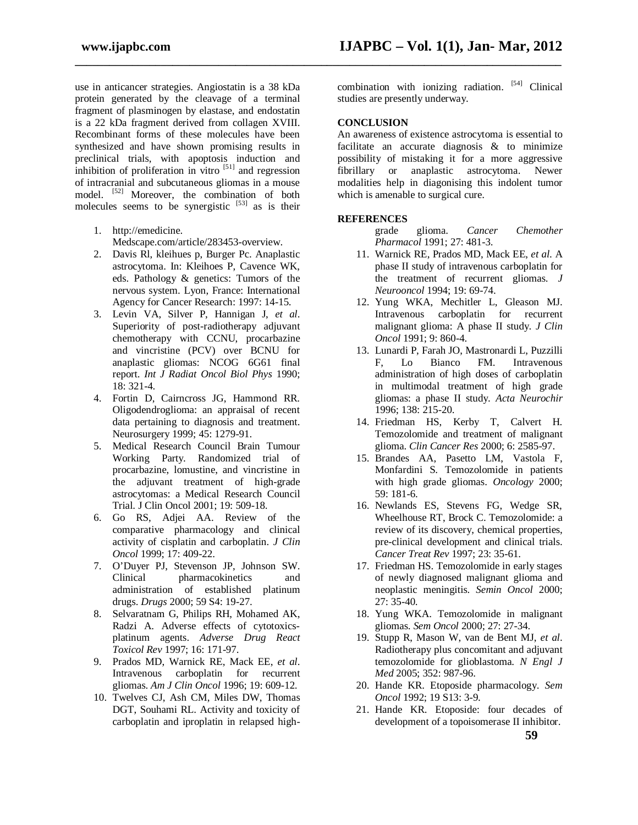use in anticancer strategies. Angiostatin is a 38 kDa protein generated by the cleavage of a terminal fragment of plasminogen by elastase, and endostatin is a 22 kDa fragment derived from collagen XVIII. Recombinant forms of these molecules have been synthesized and have shown promising results in preclinical trials, with apoptosis induction and inhibition of proliferation in vitro  $[51]$  and regression of intracranial and subcutaneous gliomas in a mouse model. [52] Moreover, the combination of both molecules seems to be synergistic  $[53]$  as is their

1. http://emedicine.

Medscape.com/article/283453-overview.

- 2. Davis Rl, kleihues p, Burger Pc. Anaplastic astrocytoma. In: Kleihoes P, Cavence WK, eds. Pathology & genetics: Tumors of the nervous system. Lyon, France: International Agency for Cancer Research: 1997: 14-15.
- 3. Levin VA, Silver P, Hannigan J, *et al*. Superiority of post-radiotherapy adjuvant chemotherapy with CCNU, procarbazine and vincristine (PCV) over BCNU for anaplastic gliomas: NCOG 6G61 final report. *Int J Radiat Oncol Biol Phys* 1990; 18: 321-4.
- 4. Fortin D, Cairncross JG, Hammond RR. Oligodendroglioma: an appraisal of recent data pertaining to diagnosis and treatment. Neurosurgery 1999; 45: 1279-91.
- 5. Medical Research Council Brain Tumour Working Party. Randomized trial of procarbazine, lomustine, and vincristine in the adjuvant treatment of high-grade astrocytomas: a Medical Research Council Trial. J Clin Oncol 2001; 19: 509-18.
- 6. Go RS, Adjei AA. Review of the comparative pharmacology and clinical activity of cisplatin and carboplatin. *J Clin Oncol* 1999; 17: 409-22.
- 7. O'Duyer PJ, Stevenson JP, Johnson SW. Clinical pharmacokinetics and administration of established platinum drugs. *Drugs* 2000; 59 S4: 19-27.
- 8. Selvaratnam G, Philips RH, Mohamed AK, Radzi A. Adverse effects of cytotoxicsplatinum agents. *Adverse Drug React Toxicol Rev* 1997; 16: 171-97.
- 9. Prados MD, Warnick RE, Mack EE, *et al*. Intravenous carboplatin for recurrent gliomas. *Am J Clin Oncol* 1996; 19: 609-12.
- 10. Twelves CJ, Ash CM, Miles DW, Thomas DGT, Souhami RL. Activity and toxicity of carboplatin and iproplatin in relapsed high-

combination with ionizing radiation.  $[54]$  Clinical studies are presently underway.

#### **CONCLUSION**

**\_\_\_\_\_\_\_\_\_\_\_\_\_\_\_\_\_\_\_\_\_\_\_\_\_\_\_\_\_\_\_\_\_\_\_\_\_\_\_\_\_\_\_\_\_\_\_\_\_\_\_\_\_\_\_\_\_\_\_\_\_\_\_\_\_\_\_\_\_\_\_\_\_\_\_\_\_\_\_\_\_\_\_\_\_**

An awareness of existence astrocytoma is essential to facilitate an accurate diagnosis & to minimize possibility of mistaking it for a more aggressive fibrillary or anaplastic astrocytoma. Newer modalities help in diagonising this indolent tumor which is amenable to surgical cure.

#### **REFERENCES**

grade glioma. *Cancer Chemother Pharmacol* 1991; 27: 481-3.

- 11. Warnick RE, Prados MD, Mack EE, *et al*. A phase II study of intravenous carboplatin for the treatment of recurrent gliomas. *J Neurooncol* 1994; 19: 69-74.
- 12. Yung WKA, Mechitler L, Gleason MJ. Intravenous carboplatin for recurrent malignant glioma: A phase II study. *J Clin Oncol* 1991; 9: 860-4.
- 13. Lunardi P, Farah JO, Mastronardi L, Puzzilli F, Lo Bianco FM. Intravenous administration of high doses of carboplatin in multimodal treatment of high grade gliomas: a phase II study. *Acta Neurochir*  1996; 138: 215-20.
- 14. Friedman HS, Kerby T, Calvert H. Temozolomide and treatment of malignant glioma. *Clin Cancer Res* 2000; 6: 2585-97.
- 15. Brandes AA, Pasetto LM, Vastola F, Monfardini S. Temozolomide in patients with high grade gliomas. *Oncology* 2000; 59: 181-6.
- 16. Newlands ES, Stevens FG, Wedge SR, Wheelhouse RT, Brock C. Temozolomide: a review of its discovery, chemical properties, pre-clinical development and clinical trials. *Cancer Treat Rev* 1997; 23: 35-61.
- 17. Friedman HS. Temozolomide in early stages of newly diagnosed malignant glioma and neoplastic meningitis. *Semin Oncol* 2000; 27: 35-40.
- 18. Yung WKA. Temozolomide in malignant gliomas. *Sem Oncol* 2000; 27: 27-34.
- 19. Stupp R, Mason W, van de Bent MJ, *et al*. Radiotherapy plus concomitant and adjuvant temozolomide for glioblastoma. *N Engl J Med* 2005; 352: 987-96.
- 20. Hande KR. Etoposide pharmacology. *Sem Oncol* 1992; 19 S13: 3-9.
- 21. Hande KR. Etoposide: four decades of development of a topoisomerase II inhibitor.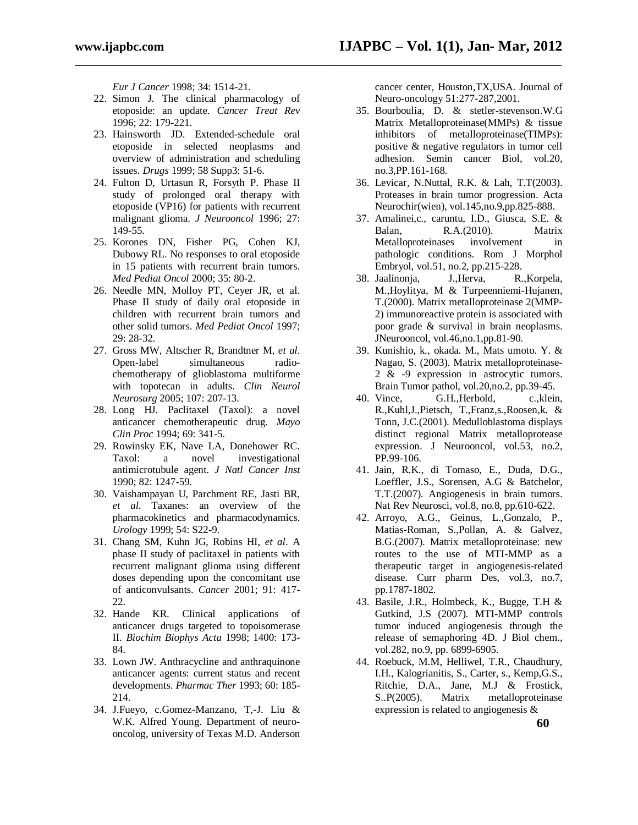*Eur J Cancer* 1998; 34: 1514-21.

22. Simon J. The clinical pharmacology of etoposide: an update. *Cancer Treat Rev*  1996; 22: 179-221.

**\_\_\_\_\_\_\_\_\_\_\_\_\_\_\_\_\_\_\_\_\_\_\_\_\_\_\_\_\_\_\_\_\_\_\_\_\_\_\_\_\_\_\_\_\_\_\_\_\_\_\_\_\_\_\_\_\_\_\_\_\_\_\_\_\_\_\_\_\_\_\_\_\_\_\_\_\_\_\_\_\_\_\_\_\_**

- 23. Hainsworth JD. Extended-schedule oral etoposide in selected neoplasms and overview of administration and scheduling issues. *Drugs* 1999; 58 Supp3: 51-6.
- 24. Fulton D, Urtasun R, Forsyth P. Phase II study of prolonged oral therapy with etoposide (VP16) for patients with recurrent malignant glioma. *J Neurooncol* 1996; 27: 149-55.
- 25. Korones DN, Fisher PG, Cohen KJ, Dubowy RL. No responses to oral etoposide in 15 patients with recurrent brain tumors. *Med Pediat Oncol* 2000; 35: 80-2.
- 26. Needle MN, Molloy PT, Ceyer JR, et al. Phase II study of daily oral etoposide in children with recurrent brain tumors and other solid tumors. *Med Pediat Oncol* 1997; 29: 28-32.
- 27. Gross MW, Altscher R, Brandtner M, *et al*. Open-label simultaneous radiochemotherapy of glioblastoma multiforme with topotecan in adults. *Clin Neurol Neurosurg* 2005; 107: 207-13.
- 28. Long HJ. Paclitaxel (Taxol): a novel anticancer chemotherapeutic drug. *Mayo Clin Proc* 1994; 69: 341-5.
- 29. Rowinsky EK, Nave LA, Donehower RC. Taxol: a novel investigational antimicrotubule agent. *J Natl Cancer Inst*  1990; 82: 1247-59.
- 30. Vaishampayan U, Parchment RE, Jasti BR, *et al*. Taxanes: an overview of the pharmacokinetics and pharmacodynamics. *Urology* 1999; 54: S22-9.
- 31. Chang SM, Kuhn JG, Robins HI, *et al*. A phase II study of paclitaxel in patients with recurrent malignant glioma using different doses depending upon the concomitant use of anticonvulsants. *Cancer* 2001; 91: 417- 22.
- 32. Hande KR. Clinical applications of anticancer drugs targeted to topoisomerase II. *Biochim Biophys Acta* 1998; 1400: 173- 84.
- 33. Lown JW. Anthracycline and anthraquinone anticancer agents: current status and recent developments. *Pharmac Ther* 1993; 60: 185- 214.
- 34. J.Fueyo, c.Gomez-Manzano, T,-J. Liu & W.K. Alfred Young. Department of neurooncolog, university of Texas M.D. Anderson

cancer center, Houston,TX,USA. Journal of Neuro-oncology 51:277-287,2001.

- 35. Bourboulia, D. & stetler-stevenson.W.G Matrix Metalloproteinase(MMPs) & tissue inhibitors of metalloproteinase(TIMPs): positive & negative regulators in tumor cell adhesion. Semin cancer Biol, vol.20, no.3,PP.161-168.
- 36. Levicar, N.Nuttal, R.K. & Lah, T.T(2003). Proteases in brain tumor progression. Acta Neurochir(wien), vol.145,no.9,pp.825-888.
- 37. Amalinei,c., caruntu, I.D., Giusca, S.E. & Balan, R.A.(2010). Matrix Metalloproteinases involvement in pathologic conditions. Rom J Morphol Embryol, vol.51, no.2, pp.215-228.
- 38. Jaalinonja, J.,Herva, R.,Korpela, M.,Hoylitya, M & Turpeenniemi-Hujanen, T.(2000). Matrix metalloproteinase 2(MMP-2) immunoreactive protein is associated with poor grade & survival in brain neoplasms. JNeurooncol, vol.46,no.1,pp.81-90.
- 39. Kunishio, k., okada. M., Mats umoto. Y. & Nagao, S. (2003). Matrix metalloproteinase-2 & -9 expression in astrocytic tumors. Brain Tumor pathol, vol.20,no.2, pp.39-45.
- 40. Vince, G.H.,Herbold, c.,klein, R.,Kuhl,J.,Pietsch, T.,Franz,s.,Roosen,k. & Tonn, J.C.(2001). Medulloblastoma displays distinct regional Matrix metalloprotease expression. J Neurooncol, vol.53, no.2, PP.99-106.
- 41. Jain, R.K., di Tomaso, E., Duda, D.G., Loeffler, J.S., Sorensen, A.G & Batchelor, T.T.(2007). Angiogenesis in brain tumors. Nat Rev Neurosci, vol.8, no.8, pp.610-622.
- 42. Arroyo, A.G., Geinus, L.,Gonzalo, P., Matias-Roman, S.,Pollan, A. & Galvez, B.G.(2007). Matrix metalloproteinase: new routes to the use of MTI-MMP as a therapeutic target in angiogenesis-related disease. Curr pharm Des, vol.3, no.7, pp.1787-1802.
- 43. Basile, J.R., Holmbeck, K., Bugge, T.H & Gutkind, J.S (2007). MTI-MMP controls tumor induced angiogenesis through the release of semaphoring 4D. J Biol chem., vol.282, no.9, pp. 6899-6905.
- 44. Roebuck, M.M, Helliwel, T.R., Chaudhury, I.H., Kalogrianitis, S., Carter, s., Kemp,G.S., Ritchie, D.A., Jane, M.J & Frostick, S..P(2005). Matrix metalloproteinase expression is related to angiogenesis &